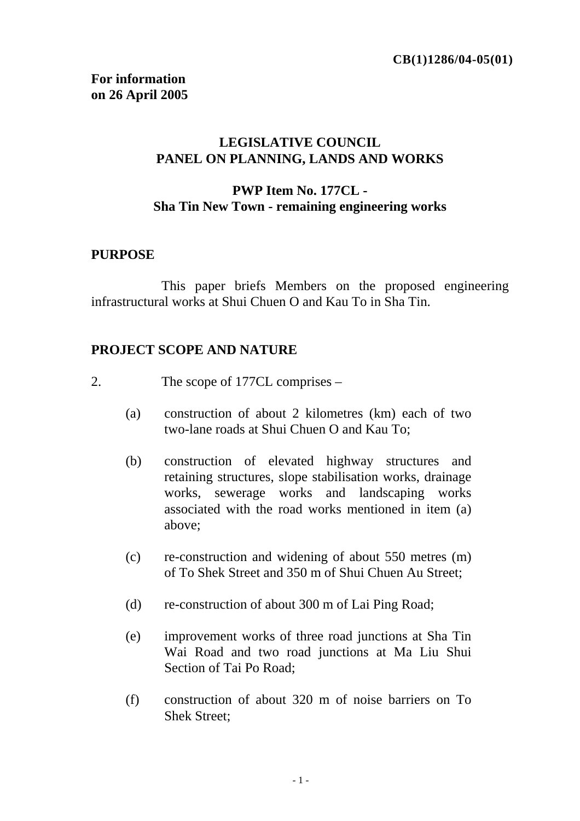## **LEGISLATIVE COUNCIL PANEL ON PLANNING, LANDS AND WORKS**

## **PWP Item No. 177CL - Sha Tin New Town - remaining engineering works**

### **PURPOSE**

 This paper briefs Members on the proposed engineering infrastructural works at Shui Chuen O and Kau To in Sha Tin.

### **PROJECT SCOPE AND NATURE**

- 2. The scope of 177CL comprises
	- (a) construction of about 2 kilometres (km) each of two two-lane roads at Shui Chuen O and Kau To;
	- (b) construction of elevated highway structures and retaining structures, slope stabilisation works, drainage works, sewerage works and landscaping works associated with the road works mentioned in item (a) above;
	- (c) re-construction and widening of about 550 metres (m) of To Shek Street and 350 m of Shui Chuen Au Street;
	- (d) re-construction of about 300 m of Lai Ping Road;
	- (e) improvement works of three road junctions at Sha Tin Wai Road and two road junctions at Ma Liu Shui Section of Tai Po Road;
	- (f) construction of about 320 m of noise barriers on To Shek Street;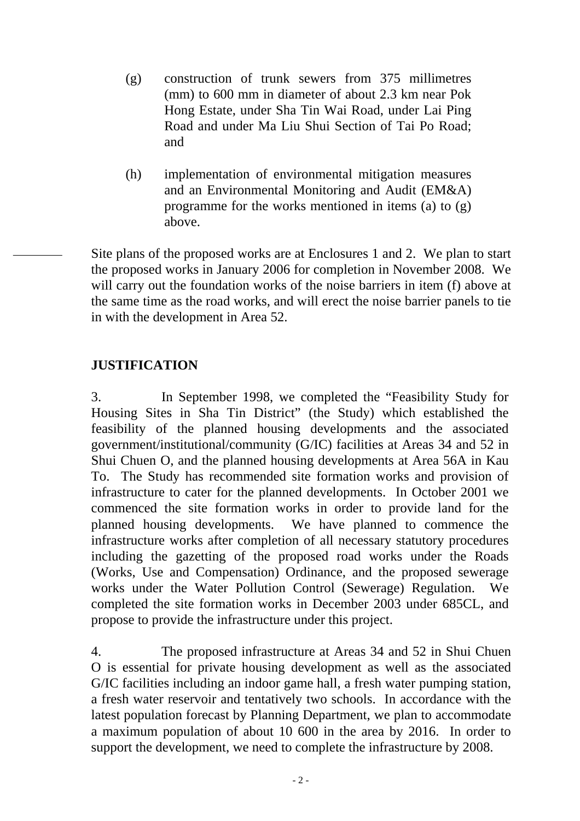- (g) construction of trunk sewers from 375 millimetres (mm) to 600 mm in diameter of about 2.3 km near Pok Hong Estate, under Sha Tin Wai Road, under Lai Ping Road and under Ma Liu Shui Section of Tai Po Road; and
- (h) implementation of environmental mitigation measures and an Environmental Monitoring and Audit (EM&A) programme for the works mentioned in items (a) to (g) above.

Site plans of the proposed works are at Enclosures 1 and 2. We plan to start the proposed works in January 2006 for completion in November 2008. We will carry out the foundation works of the noise barriers in item (f) above at the same time as the road works, and will erect the noise barrier panels to tie in with the development in Area 52.

## **JUSTIFICATION**

3. In September 1998, we completed the "Feasibility Study for Housing Sites in Sha Tin District" (the Study) which established the feasibility of the planned housing developments and the associated government/institutional/community (G/IC) facilities at Areas 34 and 52 in Shui Chuen O, and the planned housing developments at Area 56A in Kau To. The Study has recommended site formation works and provision of infrastructure to cater for the planned developments. In October 2001 we commenced the site formation works in order to provide land for the planned housing developments. We have planned to commence the infrastructure works after completion of all necessary statutory procedures including the gazetting of the proposed road works under the Roads (Works, Use and Compensation) Ordinance, and the proposed sewerage works under the Water Pollution Control (Sewerage) Regulation. We completed the site formation works in December 2003 under 685CL, and propose to provide the infrastructure under this project.

4. The proposed infrastructure at Areas 34 and 52 in Shui Chuen O is essential for private housing development as well as the associated G/IC facilities including an indoor game hall, a fresh water pumping station, a fresh water reservoir and tentatively two schools. In accordance with the latest population forecast by Planning Department, we plan to accommodate a maximum population of about 10 600 in the area by 2016. In order to support the development, we need to complete the infrastructure by 2008.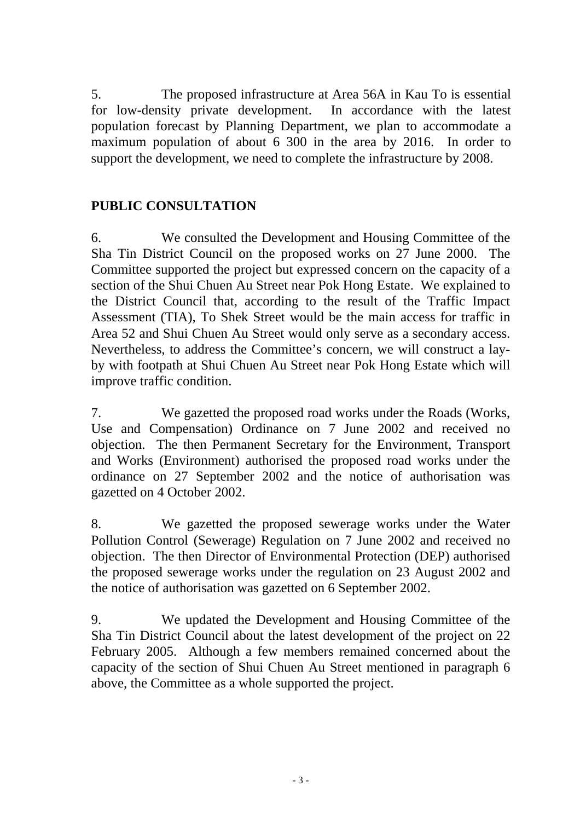5. The proposed infrastructure at Area 56A in Kau To is essential for low-density private development. In accordance with the latest population forecast by Planning Department, we plan to accommodate a maximum population of about 6 300 in the area by 2016. In order to support the development, we need to complete the infrastructure by 2008.

# **PUBLIC CONSULTATION**

6. We consulted the Development and Housing Committee of the Sha Tin District Council on the proposed works on 27 June 2000. The Committee supported the project but expressed concern on the capacity of a section of the Shui Chuen Au Street near Pok Hong Estate. We explained to the District Council that, according to the result of the Traffic Impact Assessment (TIA), To Shek Street would be the main access for traffic in Area 52 and Shui Chuen Au Street would only serve as a secondary access. Nevertheless, to address the Committee's concern, we will construct a layby with footpath at Shui Chuen Au Street near Pok Hong Estate which will improve traffic condition.

7. We gazetted the proposed road works under the Roads (Works, Use and Compensation) Ordinance on 7 June 2002 and received no objection. The then Permanent Secretary for the Environment, Transport and Works (Environment) authorised the proposed road works under the ordinance on 27 September 2002 and the notice of authorisation was gazetted on 4 October 2002.

8. We gazetted the proposed sewerage works under the Water Pollution Control (Sewerage) Regulation on 7 June 2002 and received no objection. The then Director of Environmental Protection (DEP) authorised the proposed sewerage works under the regulation on 23 August 2002 and the notice of authorisation was gazetted on 6 September 2002.

9. We updated the Development and Housing Committee of the Sha Tin District Council about the latest development of the project on 22 February 2005. Although a few members remained concerned about the capacity of the section of Shui Chuen Au Street mentioned in paragraph 6 above, the Committee as a whole supported the project.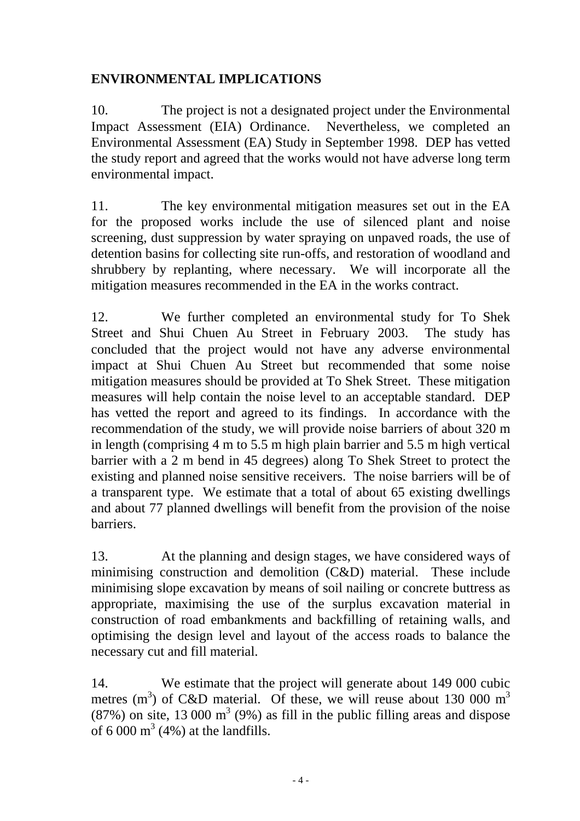# **ENVIRONMENTAL IMPLICATIONS**

10. The project is not a designated project under the Environmental Impact Assessment (EIA) Ordinance. Nevertheless, we completed an Environmental Assessment (EA) Study in September 1998. DEP has vetted the study report and agreed that the works would not have adverse long term environmental impact.

11. The key environmental mitigation measures set out in the EA for the proposed works include the use of silenced plant and noise screening, dust suppression by water spraying on unpaved roads, the use of detention basins for collecting site run-offs, and restoration of woodland and shrubbery by replanting, where necessary. We will incorporate all the mitigation measures recommended in the EA in the works contract.

12. We further completed an environmental study for To Shek Street and Shui Chuen Au Street in February 2003. The study has concluded that the project would not have any adverse environmental impact at Shui Chuen Au Street but recommended that some noise mitigation measures should be provided at To Shek Street. These mitigation measures will help contain the noise level to an acceptable standard. DEP has vetted the report and agreed to its findings. In accordance with the recommendation of the study, we will provide noise barriers of about 320 m in length (comprising 4 m to 5.5 m high plain barrier and 5.5 m high vertical barrier with a 2 m bend in 45 degrees) along To Shek Street to protect the existing and planned noise sensitive receivers. The noise barriers will be of a transparent type. We estimate that a total of about 65 existing dwellings and about 77 planned dwellings will benefit from the provision of the noise barriers.

13. At the planning and design stages, we have considered ways of minimising construction and demolition (C&D) material. These include minimising slope excavation by means of soil nailing or concrete buttress as appropriate, maximising the use of the surplus excavation material in construction of road embankments and backfilling of retaining walls, and optimising the design level and layout of the access roads to balance the necessary cut and fill material.

14. We estimate that the project will generate about 149 000 cubic metres  $(m<sup>3</sup>)$  of C&D material. Of these, we will reuse about 130 000  $m<sup>3</sup>$  $(87%)$  on site, 13 000 m<sup>3</sup> (9%) as fill in the public filling areas and dispose of 6 000  $m^3$  (4%) at the landfills.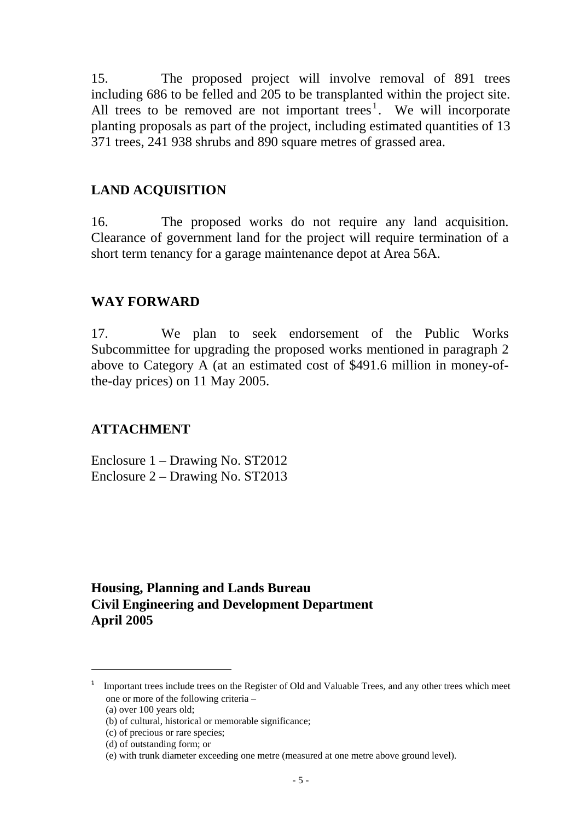15. The proposed project will involve removal of 891 trees including 686 to be felled and 205 to be transplanted within the project site. All trees to be removed are not important trees<sup>1</sup>. We will incorporate planting proposals as part of the project, including estimated quantities of 13 371 trees, 241 938 shrubs and 890 square metres of grassed area.

#### **LAND ACQUISITION**

16. The proposed works do not require any land acquisition. Clearance of government land for the project will require termination of a short term tenancy for a garage maintenance depot at Area 56A.

### **WAY FORWARD**

17. We plan to seek endorsement of the Public Works Subcommittee for upgrading the proposed works mentioned in paragraph 2 above to Category A (at an estimated cost of \$491.6 million in money-ofthe-day prices) on 11 May 2005.

### **ATTACHMENT**

Enclosure 1 – Drawing No. ST2012 Enclosure 2 – Drawing No. ST2013

### **Housing, Planning and Lands Bureau Civil Engineering and Development Department April 2005**

l

<sup>1</sup> Important trees include trees on the Register of Old and Valuable Trees, and any other trees which meet one or more of the following criteria –

<sup>(</sup>a) over 100 years old;

<sup>(</sup>b) of cultural, historical or memorable significance;

<sup>(</sup>c) of precious or rare species;

<sup>(</sup>d) of outstanding form; or

<sup>(</sup>e) with trunk diameter exceeding one metre (measured at one metre above ground level).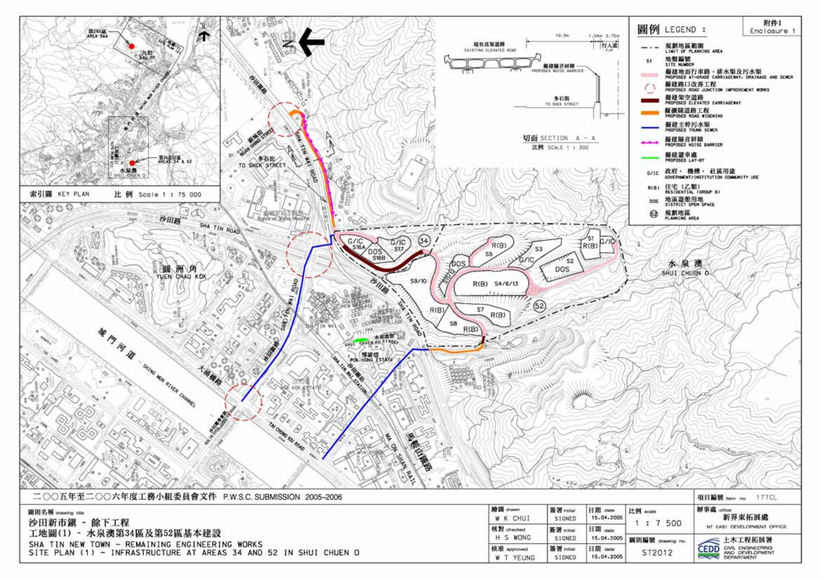

| 沙田新市鎮 - 餘下工程<br>工地圖(1) - 水泉澳第34區及第52區基本建設                                                                           |  |  |  |
|---------------------------------------------------------------------------------------------------------------------|--|--|--|
| SHA TIN NEW TOWN - REMAINING ENGINEERING WORKS<br>SITE PLAN (1) - INFRASTRUCTURE AT AREAS 34 AND 52 IN SHUI CHUEN O |  |  |  |

| 繪圖 drawn                  | 簽署 initial           | 日期 clate              | 比例 scale         | 辦事處 office                                                 |  |  |
|---------------------------|----------------------|-----------------------|------------------|------------------------------------------------------------|--|--|
| W. K. CHUI                | SIGNED               | 15.04.2005            |                  | 新界東拓展處                                                     |  |  |
| 核對 crecked                | 簽署 initial           | 日期 date               | 500              | NT EAST DEVELOPMENT OFFICE                                 |  |  |
| H S WONG                  | SIGNED               | 15.04.2005            | 開則編號 drawing no. | ≤ 土木工程拓展署                                                  |  |  |
| 核准 approved<br>YEUNG<br>W | 签署 initial<br>SIGNED | 日期 date<br>15.04.2005 | ST2012           | CIVIL ENGINEERING<br>CEDD<br>AND DEVELOPMENT<br>DEPARTMENT |  |  |